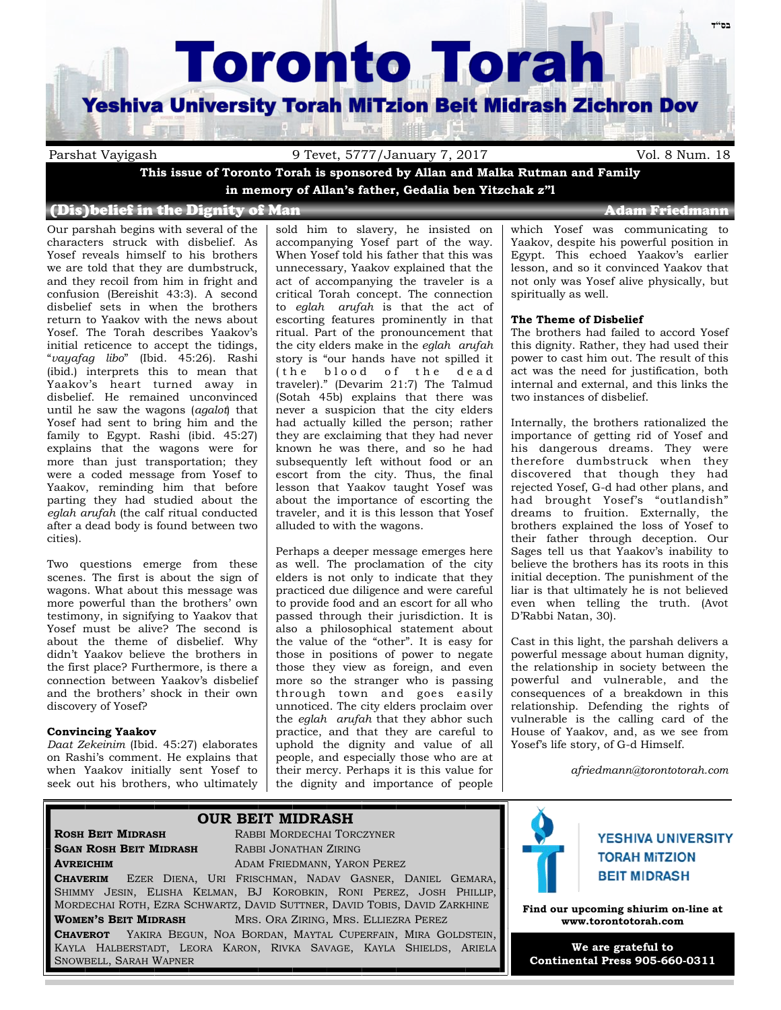# **Toronto Torah**

## **Yeshiva University Torah MiTzion Beit Midrash Zichron Dov**

Parshat Vayigash 9 Tevet, 5777/January 7, 2017 Vol. 8 Num. 18

**This issue of Toronto Torah is sponsored by Allan and Malka Rutman and Family in memory of Allan's father, Gedalia ben Yitzchak z"l**

### (Dis)belief in the Dignity of Man Adam Adam Friedmann

Our parshah begins with several of the characters struck with disbelief. As Yosef reveals himself to his brothers we are told that they are dumbstruck, and they recoil from him in fright and confusion (Bereishit 43:3). A second disbelief sets in when the brothers return to Yaakov with the news about Yosef. The Torah describes Yaakov's initial reticence to accept the tidings, "*vayafag libo*" (Ibid. 45:26). Rashi (ibid.) interprets this to mean that Yaakov's heart turned away in disbelief. He remained unconvinced until he saw the wagons (*agalot*) that Yosef had sent to bring him and the family to Egypt. Rashi (ibid. 45:27) explains that the wagons were for more than just transportation; they were a coded message from Yosef to Yaakov, reminding him that before parting they had studied about the *eglah arufah* (the calf ritual conducted after a dead body is found between two cities).

Two questions emerge from these scenes. The first is about the sign of wagons. What about this message was more powerful than the brothers' own testimony, in signifying to Yaakov that Yosef must be alive? The second is about the theme of disbelief. Why didn't Yaakov believe the brothers in the first place? Furthermore, is there a connection between Yaakov's disbelief and the brothers' shock in their own discovery of Yosef?

#### **Convincing Yaakov**

*Daat Zekeinim* (Ibid. 45:27) elaborates on Rashi's comment. He explains that when Yaakov initially sent Yosef to seek out his brothers, who ultimately

sold him to slavery, he insisted on accompanying Yosef part of the way. When Yosef told his father that this was unnecessary, Yaakov explained that the act of accompanying the traveler is a critical Torah concept. The connection to *eglah arufah* is that the act of escorting features prominently in that ritual. Part of the pronouncement that the city elders make in the *eglah arufah* story is "our hands have not spilled it (the blood of the dead traveler)." (Devarim 21:7) The Talmud (Sotah 45b) explains that there was never a suspicion that the city elders had actually killed the person; rather they are exclaiming that they had never known he was there, and so he had subsequently left without food or an escort from the city. Thus, the final lesson that Yaakov taught Yosef was about the importance of escorting the traveler, and it is this lesson that Yosef alluded to with the wagons.

Perhaps a deeper message emerges here as well. The proclamation of the city elders is not only to indicate that they practiced due diligence and were careful to provide food and an escort for all who passed through their jurisdiction. It is also a philosophical statement about the value of the "other". It is easy for those in positions of power to negate those they view as foreign, and even more so the stranger who is passing through town and goes easily unnoticed. The city elders proclaim over the *eglah arufah* that they abhor such practice, and that they are careful to uphold the dignity and value of all people, and especially those who are at their mercy. Perhaps it is this value for the dignity and importance of people

which Yosef was communicating to Yaakov, despite his powerful position in Egypt. This echoed Yaakov's earlier lesson, and so it convinced Yaakov that not only was Yosef alive physically, but

#### **The Theme of Disbelief**

spiritually as well.

The brothers had failed to accord Yosef this dignity. Rather, they had used their power to cast him out. The result of this act was the need for justification, both internal and external, and this links the two instances of disbelief.

Internally, the brothers rationalized the importance of getting rid of Yosef and his dangerous dreams. They were therefore dumbstruck when they discovered that though they had rejected Yosef, G-d had other plans, and had brought Yosef's "outlandish" dreams to fruition. Externally, the brothers explained the loss of Yosef to their father through deception. Our Sages tell us that Yaakov's inability to believe the brothers has its roots in this initial deception. The punishment of the liar is that ultimately he is not believed even when telling the truth. (Avot D'Rabbi Natan, 30).

Cast in this light, the parshah delivers a powerful message about human dignity, the relationship in society between the powerful and vulnerable, and the consequences of a breakdown in this relationship. Defending the rights of vulnerable is the calling card of the House of Yaakov, and, as we see from Yosef's life story, of G-d Himself.

*afriedmann@torontotorah.com*

## **OUR BEIT MIDRASH**

**SGAN ROSH BEIT MIDRASH** RABBI JONATHAN ZIRING

**ROSH BEIT MIDRASH** RABBI MORDECHAI TORCZYNER **AVREICHIM** ADAM FRIEDMANN, YARON PEREZ

**CHAVERIM** EZER DIENA, URI FRISCHMAN, NADAV GASNER, DANIEL GEMARA, SHIMMY JESIN, ELISHA KELMAN, BJ KOROBKIN, RONI PEREZ, JOSH PHILLIP, MORDECHAI ROTH, EZRA SCHWARTZ, DAVID SUTTNER, DAVID TOBIS, DAVID ZARKHINE **WOMEN'S BEIT MIDRASH** MRS. ORA ZIRING, MRS. ELLIEZRA PEREZ

**CHAVEROT** YAKIRA BEGUN, NOA BORDAN, MAYTAL CUPERFAIN, MIRA GOLDSTEIN, KAYLA HALBERSTADT, LEORA KARON, RIVKA SAVAGE, KAYLA SHIELDS, ARIELA SNOWBELL, SARAH WAPNER



## **YESHIVA UNIVERSITY TORAH MITZION BEIT MIDRASH**

**Find our upcoming shiurim on-line at www.torontotorah.com**

**We are grateful to Continental Press 905-660-0311**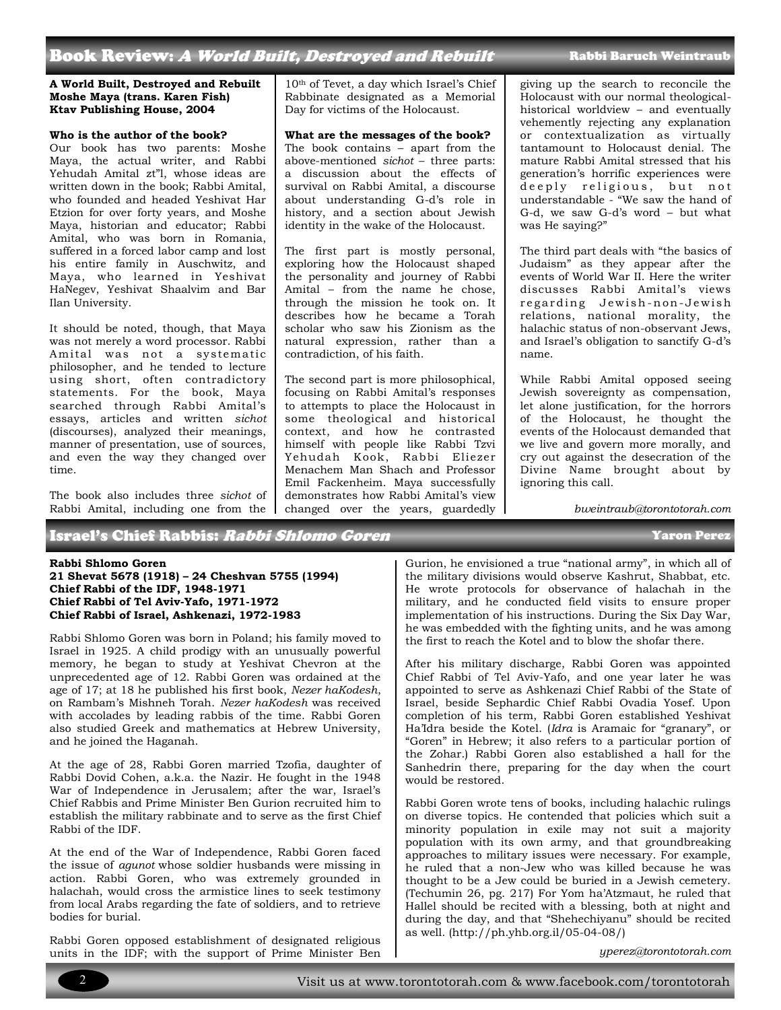## Book Review: A World Built, Destroyed and Rebuilt

#### **A World Built, Destroyed and Rebuilt Moshe Maya (trans. Karen Fish) Ktav Publishing House, 2004**

#### **Who is the author of the book?**

Our book has two parents: Moshe Maya, the actual writer, and Rabbi Yehudah Amital zt"l, whose ideas are written down in the book; Rabbi Amital, who founded and headed Yeshivat Har Etzion for over forty years, and Moshe Maya, historian and educator; Rabbi Amital, who was born in Romania, suffered in a forced labor camp and lost his entire family in Auschwitz, and Maya, who learned in Yeshivat HaNegev, Yeshivat Shaalvim and Bar Ilan University.

It should be noted, though, that Maya was not merely a word processor. Rabbi Amital was not a systematic philosopher, and he tended to lecture using short, often contradictory statements. For the book, Maya searched through Rabbi Amital's essays, articles and written *sichot* (discourses), analyzed their meanings, manner of presentation, use of sources, and even the way they changed over time.

The book also includes three *sichot* of Rabbi Amital, including one from the

Israel's Chief Rabbis: *Rabbi Shlomo Goren* Yaron Perez Yaron Perez

10th of Tevet, a day which Israel's Chief Rabbinate designated as a Memorial Day for victims of the Holocaust.

#### **What are the messages of the book?**

The book contains – apart from the above-mentioned *sichot* – three parts: a discussion about the effects of survival on Rabbi Amital, a discourse about understanding G-d's role in history, and a section about Jewish identity in the wake of the Holocaust.

The first part is mostly personal, exploring how the Holocaust shaped the personality and journey of Rabbi Amital – from the name he chose, through the mission he took on. It describes how he became a Torah scholar who saw his Zionism as the natural expression, rather than a contradiction, of his faith.

The second part is more philosophical, focusing on Rabbi Amital's responses to attempts to place the Holocaust in some theological and historical context, and how he contrasted himself with people like Rabbi Tzvi Yehudah Kook, Rabbi Eliezer Menachem Man Shach and Professor Emil Fackenheim. Maya successfully demonstrates how Rabbi Amital's view changed over the years, guardedly

giving up the search to reconcile the Holocaust with our normal theologicalhistorical worldview – and eventually vehemently rejecting any explanation or contextualization as virtually tantamount to Holocaust denial. The mature Rabbi Amital stressed that his generation's horrific experiences were deeply religious, but not understandable - "We saw the hand of G-d, we saw G-d's word – but what was He saying?"

The third part deals with "the basics of Judaism" as they appear after the events of World War II. Here the writer discusses Rabbi Amital's views re garding Je wish -non- Je wish relations, national morality, the halachic status of non-observant Jews, and Israel's obligation to sanctify G-d's name.

While Rabbi Amital opposed seeing Jewish sovereignty as compensation, let alone justification, for the horrors of the Holocaust, he thought the events of the Holocaust demanded that we live and govern more morally, and cry out against the desecration of the Divine Name brought about by ignoring this call.

*bweintraub@torontotorah.com*

#### **Rabbi Shlomo Goren**

**21 Shevat 5678 (1918) – 24 Cheshvan 5755 (1994) Chief Rabbi of the IDF, 1948-1971 Chief Rabbi of Tel Aviv-Yafo, 1971-1972 Chief Rabbi of Israel, Ashkenazi, 1972-1983**

Rabbi Shlomo Goren was born in Poland; his family moved to Israel in 1925. A child prodigy with an unusually powerful memory, he began to study at Yeshivat Chevron at the unprecedented age of 12. Rabbi Goren was ordained at the age of 17; at 18 he published his first book, *Nezer haKodesh*, on Rambam's Mishneh Torah. *Nezer haKodesh* was received with accolades by leading rabbis of the time. Rabbi Goren also studied Greek and mathematics at Hebrew University, and he joined the Haganah.

At the age of 28, Rabbi Goren married Tzofia, daughter of Rabbi Dovid Cohen, a.k.a. the Nazir. He fought in the 1948 War of Independence in Jerusalem; after the war, Israel's Chief Rabbis and Prime Minister Ben Gurion recruited him to establish the military rabbinate and to serve as the first Chief Rabbi of the IDF.

At the end of the War of Independence, Rabbi Goren faced the issue of *agunot* whose soldier husbands were missing in action. Rabbi Goren, who was extremely grounded in halachah, would cross the armistice lines to seek testimony from local Arabs regarding the fate of soldiers, and to retrieve bodies for burial.

Rabbi Goren opposed establishment of designated religious units in the IDF; with the support of Prime Minister Ben

Gurion, he envisioned a true "national army", in which all of the military divisions would observe Kashrut, Shabbat, etc. He wrote protocols for observance of halachah in the military, and he conducted field visits to ensure proper implementation of his instructions. During the Six Day War, he was embedded with the fighting units, and he was among the first to reach the Kotel and to blow the shofar there.

After his military discharge, Rabbi Goren was appointed Chief Rabbi of Tel Aviv-Yafo, and one year later he was appointed to serve as Ashkenazi Chief Rabbi of the State of Israel, beside Sephardic Chief Rabbi Ovadia Yosef. Upon completion of his term, Rabbi Goren established Yeshivat Ha'Idra beside the Kotel. (*Idra* is Aramaic for "granary", or "Goren" in Hebrew; it also refers to a particular portion of the Zohar.) Rabbi Goren also established a hall for the Sanhedrin there, preparing for the day when the court would be restored.

Rabbi Goren wrote tens of books, including halachic rulings on diverse topics. He contended that policies which suit a minority population in exile may not suit a majority population with its own army, and that groundbreaking approaches to military issues were necessary. For example, he ruled that a non-Jew who was killed because he was thought to be a Jew could be buried in a Jewish cemetery. (Techumin 26, pg. 217) For Yom ha'Atzmaut, he ruled that Hallel should be recited with a blessing, both at night and during the day, and that "Shehechiyanu" should be recited as well. (http://ph.yhb.org.il/05-04-08/)

*yperez@torontotorah.com*



#### Rabbi Baruch Weintraub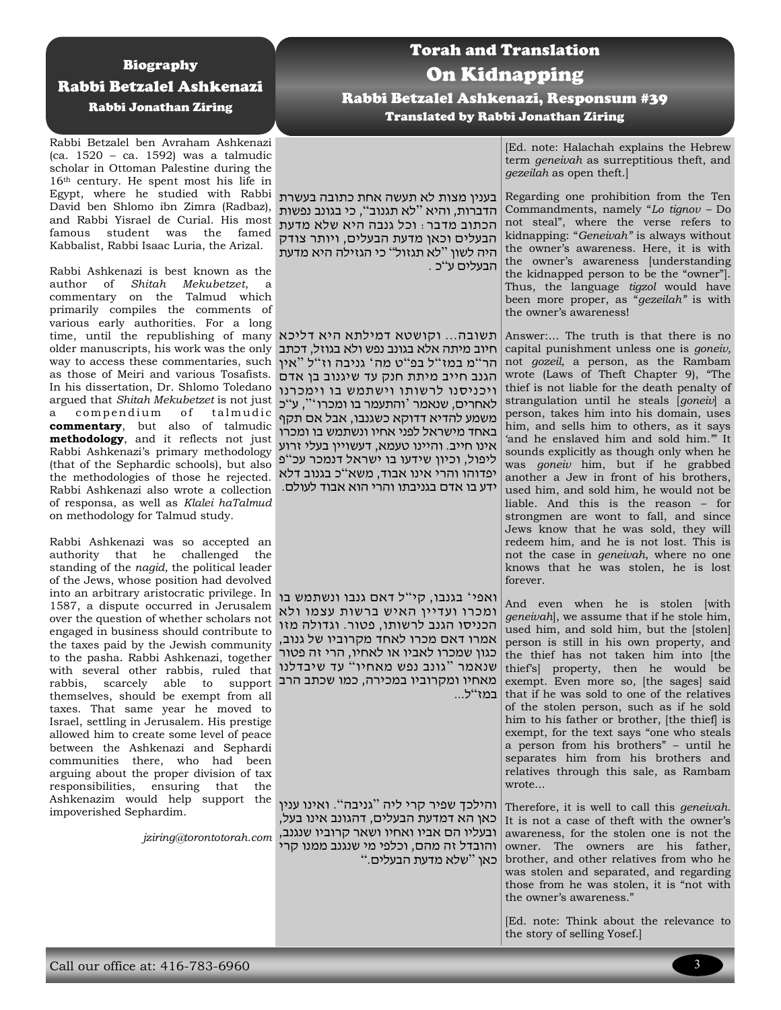## Biography Rabbi Betzalel Ashkenazi Rabbi Jonathan Ziring

Rabbi Betzalel ben Avraham Ashkenazi (ca. 1520 – ca. 1592) was a talmudic scholar in Ottoman Palestine during the 16th century. He spent most his life in Egypt, where he studied with Rabbi בענין מצות לא תעשה אחת כתובה בעשרת David ben Shlomo ibn Zimra (Radbaz), and Rabbi Yisrael de Curial. His most famous student was the famed Kabbalist, Rabbi Isaac Luria, the Arizal.

Rabbi Ashkenazi is best known as the author of *Shitah Mekubetzet*, a commentary on the Talmud which primarily compiles the comments of various early authorities. For a long time, until the republishing of many older manuscripts, his work was the only way to access these commentaries, such as those of Meiri and various Tosafists. In his dissertation, Dr. Shlomo Toledano argued that *Shitah Mekubetzet* is not just a compendium of talmudic **commentary**, but also of talmudic **methodology**, and it reflects not just Rabbi Ashkenazi's primary methodology (that of the Sephardic schools), but also the methodologies of those he rejected. Rabbi Ashkenazi also wrote a collection of responsa, as well as *Klalei haTalmud* on methodology for Talmud study.

Rabbi Ashkenazi was so accepted an authority that he challenged the standing of the *nagid,* the political leader of the Jews, whose position had devolved into an arbitrary aristocratic privilege. In 1587, a dispute occurred in Jerusalem over the question of whether scholars not engaged in business should contribute to the taxes paid by the Jewish community to the pasha. Rabbi Ashkenazi, together with several other rabbis, ruled that rabbis, scarcely able to support themselves, should be exempt from all taxes. That same year he moved to Israel, settling in Jerusalem. His prestige allowed him to create some level of peace between the Ashkenazi and Sephardi communities there, who had been arguing about the proper division of tax responsibilities, ensuring that the Ashkenazim would help support the impoverished Sephardim.

*jziring@torontotorah.com*

## Torah and Translation On Kidnapping Rabbi Betzalel Ashkenazi, Responsum #39 Translated by Rabbi Jonathan Ziring

הדברות, והיא "לא תגנוב", כי בגונב נפשות הכתוב מדבר: וכל גנבה היא שלא מדעת הבעלים וכאן מדעת הבעלים, ויותר צודק היה לשון "לא תגזול" כי הגזילה היא מדעת הבעלים ע"כ .

תשובה... וקושטא דמילתא היא דליכא חיוב מיתה אלא בגונב נפש ולא בגוזל, דכתב הר"מ במז"ל בפ"ט מה' גניבה וז"ל "אין הגנב חייב מיתת חנק עד שיגנוב בן אדם ויכניסנו לרשותו וישתמש בו וימכרנו לאחרים, שנאמר 'והתעמר בו ומכרו '", ע " כ משמע להדיא דדוקא כשגנבו, אבל אם תקף באחד מישראל לפני אחיו ונשתמש בו ומכרו אינו חייב. והיינו טעמא, דעשויין בעלי זרוע ליפול, וכיון שידעו בו ישראל דנמכר עכ " פ יפדוהו והרי אינו אבוד, משא " כ בגנוב דלא ידע בו אדם בגניבתו והרי הוא אבוד לעולם.

ואפי ' בגנבו, קי " ל דאם גנבו ונשתמש בו ומכרו ועדיין האיש ברשות עצמו ולא הכניסו הגנב לרשותו, פטור. וגדולה מזו אמרו דאם מכרו לאחד מקרוביו של גנוב, כגון שמכרו לאביו או לאחיו, הרי זה פטור שנאמר " גונב נפש מאחיו " עד שיבדלנו מאחיו ומקרוביו במכירה, כמו שכתב הרב במז"ל...

והילכך שפיר קרי ליה " גניבה ". ואינו ענין כאן הא דמדעת הבעלים, דהגונב אינו בעל, ובעליו הם אביו ואחיו ושאר קרוביו שנגנב, והובדל זה מהם, וכלפי מי שנגנב ממנו קרי כאן "שלא מדעת הבעלים."

[Ed. note: Halachah explains the Hebrew term *geneivah* as surreptitious theft, and *gezeilah* as open theft.]

Regarding one prohibition from the Ten Commandments, namely "*Lo tignov –* Do not steal", where the verse refers to kidnapping: "*Geneivah"* is always without the owner's awareness. Here, it is with the owner's awareness [understanding the kidnapped person to be the "owner"]. Thus, the language *tigzol* would have been more proper, as "*gezeilah"* is with the owner's awareness!

Answer:… The truth is that there is no capital punishment unless one is *goneiv,*  not *gozeil,* a person, as the Rambam wrote (Laws of Theft Chapter 9), "The thief is not liable for the death penalty of strangulation until he steals [*goneiv*] a person, takes him into his domain, uses him, and sells him to others, as it says 'and he enslaved him and sold him.'" It sounds explicitly as though only when he was *goneiv* him, but if he grabbed another a Jew in front of his brothers, used him, and sold him, he would not be liable. And this is the reason – for strongmen are wont to fall, and since Jews know that he was sold, they will redeem him, and he is not lost. This is not the case in *geneivah*, where no one knows that he was stolen, he is lost forever.

And even when he is stolen [with *geneivah*], we assume that if he stole him, used him, and sold him, but the [stolen] person is still in his own property, and the thief has not taken him into [the thief's] property, then he would be exempt. Even more so, [the sages] said that if he was sold to one of the relatives of the stolen person, such as if he sold him to his father or brother, [the thief] is exempt, for the text says "one who steals a person from his brothers" – until he separates him from his brothers and relatives through this sale, as Rambam wrote...

Therefore, it is well to call this *geneivah*. It is not a case of theft with the owner's awareness, for the stolen one is not the owner. The owners are his father, brother, and other relatives from who he was stolen and separated, and regarding those from he was stolen, it is "not with the owner's awareness."

[Ed. note: Think about the relevance to the story of selling Yosef.]